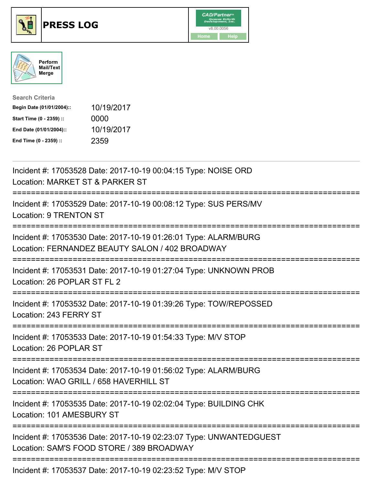





| <b>Search Criteria</b>    |            |
|---------------------------|------------|
| Begin Date (01/01/2004):: | 10/19/2017 |
| Start Time (0 - 2359) ::  | 0000       |
| End Date (01/01/2004)::   | 10/19/2017 |
| End Time (0 - 2359) ::    | 2359       |

| Incident #: 17053528 Date: 2017-10-19 00:04:15 Type: NOISE ORD<br>Location: MARKET ST & PARKER ST                          |
|----------------------------------------------------------------------------------------------------------------------------|
| Incident #: 17053529 Date: 2017-10-19 00:08:12 Type: SUS PERS/MV<br><b>Location: 9 TRENTON ST</b>                          |
| Incident #: 17053530 Date: 2017-10-19 01:26:01 Type: ALARM/BURG<br>Location: FERNANDEZ BEAUTY SALON / 402 BROADWAY         |
| Incident #: 17053531 Date: 2017-10-19 01:27:04 Type: UNKNOWN PROB<br>Location: 26 POPLAR ST FL 2<br>:===================== |
| Incident #: 17053532 Date: 2017-10-19 01:39:26 Type: TOW/REPOSSED<br>Location: 243 FERRY ST                                |
| Incident #: 17053533 Date: 2017-10-19 01:54:33 Type: M/V STOP<br>Location: 26 POPLAR ST                                    |
| Incident #: 17053534 Date: 2017-10-19 01:56:02 Type: ALARM/BURG<br>Location: WAO GRILL / 658 HAVERHILL ST                  |
| Incident #: 17053535 Date: 2017-10-19 02:02:04 Type: BUILDING CHK<br>Location: 101 AMESBURY ST                             |
| Incident #: 17053536 Date: 2017-10-19 02:23:07 Type: UNWANTEDGUEST<br>Location: SAM'S FOOD STORE / 389 BROADWAY            |
|                                                                                                                            |

Incident #: 17053537 Date: 2017-10-19 02:23:52 Type: M/V STOP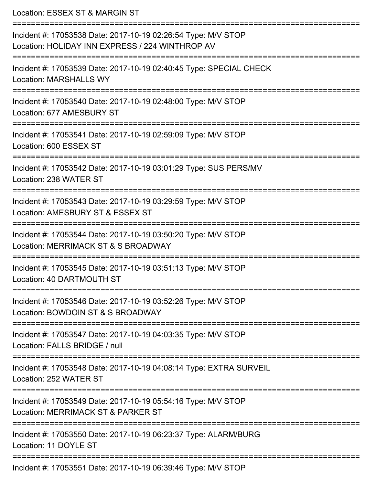Location: ESSEX ST & MARGIN ST =========================================================================== Incident #: 17053538 Date: 2017-10-19 02:26:54 Type: M/V STOP Location: HOLIDAY INN EXPRESS / 224 WINTHROP AV =========================================================================== Incident #: 17053539 Date: 2017-10-19 02:40:45 Type: SPECIAL CHECK Location: MARSHALLS WY =========================================================================== Incident #: 17053540 Date: 2017-10-19 02:48:00 Type: M/V STOP Location: 677 AMESBURY ST =========================================================================== Incident #: 17053541 Date: 2017-10-19 02:59:09 Type: M/V STOP Location: 600 ESSEX ST =========================================================================== Incident #: 17053542 Date: 2017-10-19 03:01:29 Type: SUS PERS/MV Location: 238 WATER ST =========================================================================== Incident #: 17053543 Date: 2017-10-19 03:29:59 Type: M/V STOP Location: AMESBURY ST & ESSEX ST =========================================================================== Incident #: 17053544 Date: 2017-10-19 03:50:20 Type: M/V STOP Location: MERRIMACK ST & S BROADWAY =========================================================================== Incident #: 17053545 Date: 2017-10-19 03:51:13 Type: M/V STOP Location: 40 DARTMOUTH ST =========================================================================== Incident #: 17053546 Date: 2017-10-19 03:52:26 Type: M/V STOP Location: BOWDOIN ST & S BROADWAY =========================================================================== Incident #: 17053547 Date: 2017-10-19 04:03:35 Type: M/V STOP Location: FALLS BRIDGE / null =========================================================================== Incident #: 17053548 Date: 2017-10-19 04:08:14 Type: EXTRA SURVEIL Location: 252 WATER ST =========================================================================== Incident #: 17053549 Date: 2017-10-19 05:54:16 Type: M/V STOP Location: MERRIMACK ST & PARKER ST =========================================================================== Incident #: 17053550 Date: 2017-10-19 06:23:37 Type: ALARM/BURG Location: 11 DOYLE ST ===========================================================================

Incident #: 17053551 Date: 2017-10-19 06:39:46 Type: M/V STOP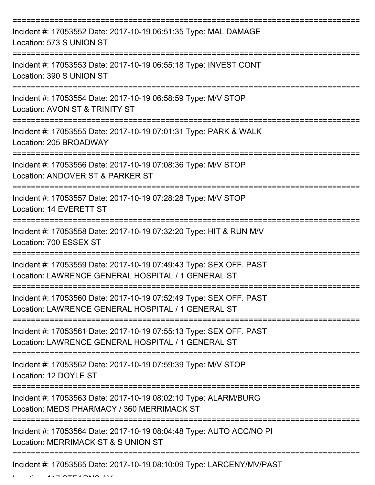| Incident #: 17053552 Date: 2017-10-19 06:51:35 Type: MAL DAMAGE<br>Location: 573 S UNION ST                              |
|--------------------------------------------------------------------------------------------------------------------------|
| Incident #: 17053553 Date: 2017-10-19 06:55:18 Type: INVEST CONT<br>Location: 390 S UNION ST                             |
| Incident #: 17053554 Date: 2017-10-19 06:58:59 Type: M/V STOP<br>Location: AVON ST & TRINITY ST                          |
| Incident #: 17053555 Date: 2017-10-19 07:01:31 Type: PARK & WALK<br>Location: 205 BROADWAY                               |
| Incident #: 17053556 Date: 2017-10-19 07:08:36 Type: M/V STOP<br>Location: ANDOVER ST & PARKER ST                        |
| Incident #: 17053557 Date: 2017-10-19 07:28:28 Type: M/V STOP<br>Location: 14 EVERETT ST                                 |
| Incident #: 17053558 Date: 2017-10-19 07:32:20 Type: HIT & RUN M/V<br>Location: 700 ESSEX ST                             |
| Incident #: 17053559 Date: 2017-10-19 07:49:43 Type: SEX OFF. PAST<br>Location: LAWRENCE GENERAL HOSPITAL / 1 GENERAL ST |
| Incident #: 17053560 Date: 2017-10-19 07:52:49 Type: SEX OFF. PAST<br>Location: LAWRENCE GENERAL HOSPITAL / 1 GENERAL ST |
| Incident #: 17053561 Date: 2017-10-19 07:55:13 Type: SEX OFF. PAST<br>Location: LAWRENCE GENERAL HOSPITAL / 1 GENERAL ST |
| Incident #: 17053562 Date: 2017-10-19 07:59:39 Type: M/V STOP<br>Location: 12 DOYLE ST                                   |
| Incident #: 17053563 Date: 2017-10-19 08:02:10 Type: ALARM/BURG<br>Location: MEDS PHARMACY / 360 MERRIMACK ST            |
| Incident #: 17053564 Date: 2017-10-19 08:04:48 Type: AUTO ACC/NO PI<br>Location: MERRIMACK ST & S UNION ST               |
| Incident #: 17053565 Date: 2017-10-19 08:10:09 Type: LARCENY/MV/PAST                                                     |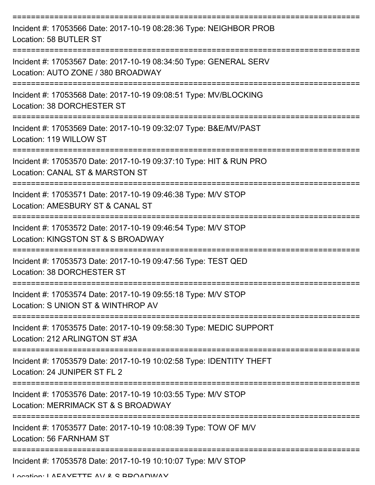| Incident #: 17053566 Date: 2017-10-19 08:28:36 Type: NEIGHBOR PROB<br>Location: 58 BUTLER ST            |
|---------------------------------------------------------------------------------------------------------|
| Incident #: 17053567 Date: 2017-10-19 08:34:50 Type: GENERAL SERV<br>Location: AUTO ZONE / 380 BROADWAY |
| Incident #: 17053568 Date: 2017-10-19 09:08:51 Type: MV/BLOCKING<br>Location: 38 DORCHESTER ST          |
| Incident #: 17053569 Date: 2017-10-19 09:32:07 Type: B&E/MV/PAST<br>Location: 119 WILLOW ST             |
| Incident #: 17053570 Date: 2017-10-19 09:37:10 Type: HIT & RUN PRO<br>Location: CANAL ST & MARSTON ST   |
| Incident #: 17053571 Date: 2017-10-19 09:46:38 Type: M/V STOP<br>Location: AMESBURY ST & CANAL ST       |
| Incident #: 17053572 Date: 2017-10-19 09:46:54 Type: M/V STOP<br>Location: KINGSTON ST & S BROADWAY     |
| Incident #: 17053573 Date: 2017-10-19 09:47:56 Type: TEST QED<br>Location: 38 DORCHESTER ST             |
| Incident #: 17053574 Date: 2017-10-19 09:55:18 Type: M/V STOP<br>Location: S UNION ST & WINTHROP AV     |
| Incident #: 17053575 Date: 2017-10-19 09:58:30 Type: MEDIC SUPPORT<br>Location: 212 ARLINGTON ST #3A    |
| Incident #: 17053579 Date: 2017-10-19 10:02:58 Type: IDENTITY THEFT<br>Location: 24 JUNIPER ST FL 2     |
| Incident #: 17053576 Date: 2017-10-19 10:03:55 Type: M/V STOP<br>Location: MERRIMACK ST & S BROADWAY    |
| Incident #: 17053577 Date: 2017-10-19 10:08:39 Type: TOW OF M/V<br>Location: 56 FARNHAM ST              |
| Incident #: 17053578 Date: 2017-10-19 10:10:07 Type: M/V STOP                                           |

Location: LAEAVETTE AV & C BDOADWAV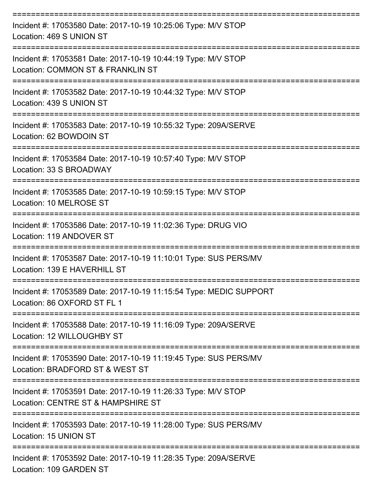| Incident #: 17053580 Date: 2017-10-19 10:25:06 Type: M/V STOP<br>Location: 469 S UNION ST           |
|-----------------------------------------------------------------------------------------------------|
| Incident #: 17053581 Date: 2017-10-19 10:44:19 Type: M/V STOP<br>Location: COMMON ST & FRANKLIN ST  |
| Incident #: 17053582 Date: 2017-10-19 10:44:32 Type: M/V STOP<br>Location: 439 S UNION ST           |
| Incident #: 17053583 Date: 2017-10-19 10:55:32 Type: 209A/SERVE<br>Location: 62 BOWDOIN ST          |
| Incident #: 17053584 Date: 2017-10-19 10:57:40 Type: M/V STOP<br>Location: 33 S BROADWAY            |
| Incident #: 17053585 Date: 2017-10-19 10:59:15 Type: M/V STOP<br>Location: 10 MELROSE ST            |
| Incident #: 17053586 Date: 2017-10-19 11:02:36 Type: DRUG VIO<br>Location: 119 ANDOVER ST           |
| Incident #: 17053587 Date: 2017-10-19 11:10:01 Type: SUS PERS/MV<br>Location: 139 E HAVERHILL ST    |
| Incident #: 17053589 Date: 2017-10-19 11:15:54 Type: MEDIC SUPPORT<br>Location: 86 OXFORD ST FL 1   |
| Incident #: 17053588 Date: 2017-10-19 11:16:09 Type: 209A/SERVE<br>Location: 12 WILLOUGHBY ST       |
| Incident #: 17053590 Date: 2017-10-19 11:19:45 Type: SUS PERS/MV<br>Location: BRADFORD ST & WEST ST |
| Incident #: 17053591 Date: 2017-10-19 11:26:33 Type: M/V STOP<br>Location: CENTRE ST & HAMPSHIRE ST |
| Incident #: 17053593 Date: 2017-10-19 11:28:00 Type: SUS PERS/MV<br>Location: 15 UNION ST           |
| Incident #: 17053592 Date: 2017-10-19 11:28:35 Type: 209A/SERVE<br>Location: 109 GARDEN ST          |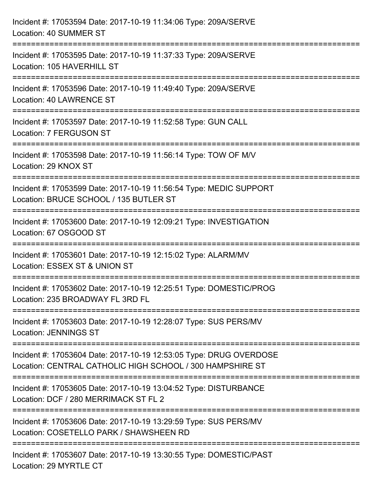| Incident #: 17053594 Date: 2017-10-19 11:34:06 Type: 209A/SERVE<br>Location: 40 SUMMER ST                                                                          |
|--------------------------------------------------------------------------------------------------------------------------------------------------------------------|
| ========================<br>Incident #: 17053595 Date: 2017-10-19 11:37:33 Type: 209A/SERVE<br>Location: 105 HAVERHILL ST                                          |
| Incident #: 17053596 Date: 2017-10-19 11:49:40 Type: 209A/SERVE<br><b>Location: 40 LAWRENCE ST</b>                                                                 |
| ===================================<br>:==============================<br>Incident #: 17053597 Date: 2017-10-19 11:52:58 Type: GUN CALL<br>Location: 7 FERGUSON ST |
| Incident #: 17053598 Date: 2017-10-19 11:56:14 Type: TOW OF M/V<br>Location: 29 KNOX ST<br>----------------------------                                            |
| Incident #: 17053599 Date: 2017-10-19 11:56:54 Type: MEDIC SUPPORT<br>Location: BRUCE SCHOOL / 135 BUTLER ST                                                       |
| Incident #: 17053600 Date: 2017-10-19 12:09:21 Type: INVESTIGATION<br>Location: 67 OSGOOD ST                                                                       |
| Incident #: 17053601 Date: 2017-10-19 12:15:02 Type: ALARM/MV<br>Location: ESSEX ST & UNION ST                                                                     |
| Incident #: 17053602 Date: 2017-10-19 12:25:51 Type: DOMESTIC/PROG<br>Location: 235 BROADWAY FL 3RD FL                                                             |
| Incident #: 17053603 Date: 2017-10-19 12:28:07 Type: SUS PERS/MV<br><b>Location: JENNINGS ST</b>                                                                   |
| Incident #: 17053604 Date: 2017-10-19 12:53:05 Type: DRUG OVERDOSE<br>Location: CENTRAL CATHOLIC HIGH SCHOOL / 300 HAMPSHIRE ST                                    |
| Incident #: 17053605 Date: 2017-10-19 13:04:52 Type: DISTURBANCE<br>Location: DCF / 280 MERRIMACK ST FL 2                                                          |
| Incident #: 17053606 Date: 2017-10-19 13:29:59 Type: SUS PERS/MV<br>Location: COSETELLO PARK / SHAWSHEEN RD                                                        |
| Incident #: 17053607 Date: 2017-10-19 13:30:55 Type: DOMESTIC/PAST<br>Location: 29 MYRTLE CT                                                                       |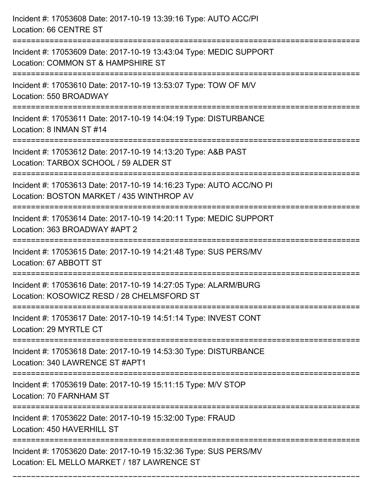| Incident #: 17053608 Date: 2017-10-19 13:39:16 Type: AUTO ACC/PI<br>Location: 66 CENTRE ST                                                            |
|-------------------------------------------------------------------------------------------------------------------------------------------------------|
| =================================<br>Incident #: 17053609 Date: 2017-10-19 13:43:04 Type: MEDIC SUPPORT<br>Location: COMMON ST & HAMPSHIRE ST         |
| Incident #: 17053610 Date: 2017-10-19 13:53:07 Type: TOW OF M/V<br>Location: 550 BROADWAY                                                             |
| Incident #: 17053611 Date: 2017-10-19 14:04:19 Type: DISTURBANCE<br>Location: 8 INMAN ST #14                                                          |
| Incident #: 17053612 Date: 2017-10-19 14:13:20 Type: A&B PAST<br>Location: TARBOX SCHOOL / 59 ALDER ST                                                |
| Incident #: 17053613 Date: 2017-10-19 14:16:23 Type: AUTO ACC/NO PI<br>Location: BOSTON MARKET / 435 WINTHROP AV<br>:================================ |
| Incident #: 17053614 Date: 2017-10-19 14:20:11 Type: MEDIC SUPPORT<br>Location: 363 BROADWAY #APT 2                                                   |
| Incident #: 17053615 Date: 2017-10-19 14:21:48 Type: SUS PERS/MV<br>Location: 67 ABBOTT ST                                                            |
| Incident #: 17053616 Date: 2017-10-19 14:27:05 Type: ALARM/BURG<br>Location: KOSOWICZ RESD / 28 CHELMSFORD ST                                         |
| Incident #: 17053617 Date: 2017-10-19 14:51:14 Type: INVEST CONT<br>Location: 29 MYRTLE CT                                                            |
| Incident #: 17053618 Date: 2017-10-19 14:53:30 Type: DISTURBANCE<br>Location: 340 LAWRENCE ST #APT1                                                   |
| Incident #: 17053619 Date: 2017-10-19 15:11:15 Type: M/V STOP<br>Location: 70 FARNHAM ST                                                              |
| Incident #: 17053622 Date: 2017-10-19 15:32:00 Type: FRAUD<br>Location: 450 HAVERHILL ST                                                              |
| Incident #: 17053620 Date: 2017-10-19 15:32:36 Type: SUS PERS/MV<br>Location: EL MELLO MARKET / 187 LAWRENCE ST                                       |

===========================================================================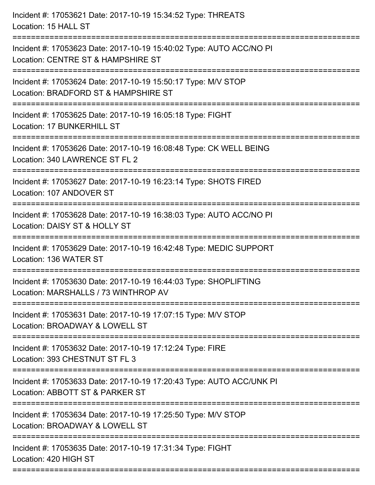| Incident #: 17053621 Date: 2017-10-19 15:34:52 Type: THREATS<br>Location: 15 HALL ST                                           |
|--------------------------------------------------------------------------------------------------------------------------------|
| Incident #: 17053623 Date: 2017-10-19 15:40:02 Type: AUTO ACC/NO PI<br>Location: CENTRE ST & HAMPSHIRE ST                      |
| Incident #: 17053624 Date: 2017-10-19 15:50:17 Type: M/V STOP<br>Location: BRADFORD ST & HAMPSHIRE ST<br>:==================== |
| Incident #: 17053625 Date: 2017-10-19 16:05:18 Type: FIGHT<br>Location: 17 BUNKERHILL ST                                       |
| Incident #: 17053626 Date: 2017-10-19 16:08:48 Type: CK WELL BEING<br>Location: 340 LAWRENCE ST FL 2                           |
| Incident #: 17053627 Date: 2017-10-19 16:23:14 Type: SHOTS FIRED<br>Location: 107 ANDOVER ST                                   |
| Incident #: 17053628 Date: 2017-10-19 16:38:03 Type: AUTO ACC/NO PI<br>Location: DAISY ST & HOLLY ST<br>------------------     |
| Incident #: 17053629 Date: 2017-10-19 16:42:48 Type: MEDIC SUPPORT<br>Location: 136 WATER ST                                   |
| Incident #: 17053630 Date: 2017-10-19 16:44:03 Type: SHOPLIFTING<br>Location: MARSHALLS / 73 WINTHROP AV                       |
| Incident #: 17053631 Date: 2017-10-19 17:07:15 Type: M/V STOP<br>Location: BROADWAY & LOWELL ST                                |
| Incident #: 17053632 Date: 2017-10-19 17:12:24 Type: FIRE<br>Location: 393 CHESTNUT ST FL 3                                    |
| Incident #: 17053633 Date: 2017-10-19 17:20:43 Type: AUTO ACC/UNK PI<br>Location: ABBOTT ST & PARKER ST                        |
| Incident #: 17053634 Date: 2017-10-19 17:25:50 Type: M/V STOP<br>Location: BROADWAY & LOWELL ST                                |
| Incident #: 17053635 Date: 2017-10-19 17:31:34 Type: FIGHT<br>Location: 420 HIGH ST                                            |
|                                                                                                                                |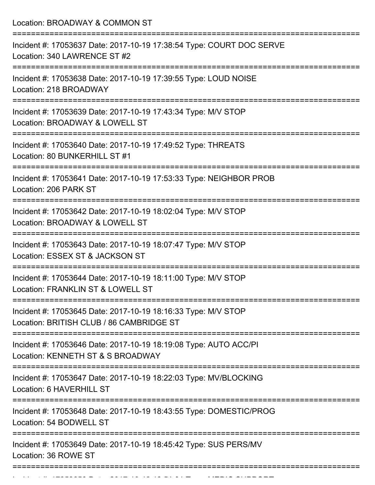| Location: BROADWAY & COMMON ST                                                                                        |
|-----------------------------------------------------------------------------------------------------------------------|
| Incident #: 17053637 Date: 2017-10-19 17:38:54 Type: COURT DOC SERVE<br>Location: 340 LAWRENCE ST #2                  |
| Incident #: 17053638 Date: 2017-10-19 17:39:55 Type: LOUD NOISE<br>Location: 218 BROADWAY<br>------------------       |
| Incident #: 17053639 Date: 2017-10-19 17:43:34 Type: M/V STOP<br>Location: BROADWAY & LOWELL ST                       |
| Incident #: 17053640 Date: 2017-10-19 17:49:52 Type: THREATS<br>Location: 80 BUNKERHILL ST #1                         |
| Incident #: 17053641 Date: 2017-10-19 17:53:33 Type: NEIGHBOR PROB<br>Location: 206 PARK ST                           |
| ==================<br>Incident #: 17053642 Date: 2017-10-19 18:02:04 Type: M/V STOP<br>Location: BROADWAY & LOWELL ST |
| Incident #: 17053643 Date: 2017-10-19 18:07:47 Type: M/V STOP<br>Location: ESSEX ST & JACKSON ST                      |
| Incident #: 17053644 Date: 2017-10-19 18:11:00 Type: M/V STOP<br>Location: FRANKLIN ST & LOWELL ST                    |
| Incident #: 17053645 Date: 2017-10-19 18:16:33 Type: M/V STOP<br>Location: BRITISH CLUB / 86 CAMBRIDGE ST             |
| Incident #: 17053646 Date: 2017-10-19 18:19:08 Type: AUTO ACC/PI<br>Location: KENNETH ST & S BROADWAY                 |
| Incident #: 17053647 Date: 2017-10-19 18:22:03 Type: MV/BLOCKING<br>Location: 6 HAVERHILL ST                          |
| Incident #: 17053648 Date: 2017-10-19 18:43:55 Type: DOMESTIC/PROG<br>Location: 54 BODWELL ST                         |
| Incident #: 17053649 Date: 2017-10-19 18:45:42 Type: SUS PERS/MV<br>Location: 36 ROWE ST                              |

Incident #: 17053650 Date: 2017 10 19 18:51:01 Type: MEDIC SUPPORT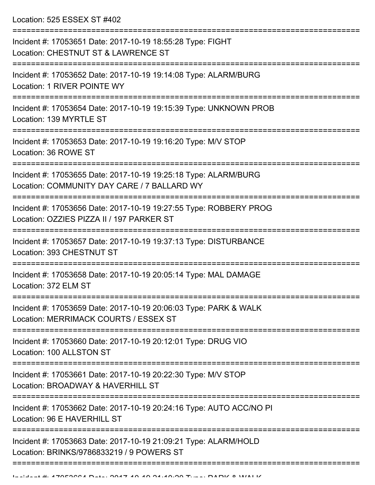Location: 525 ESSEX ST #402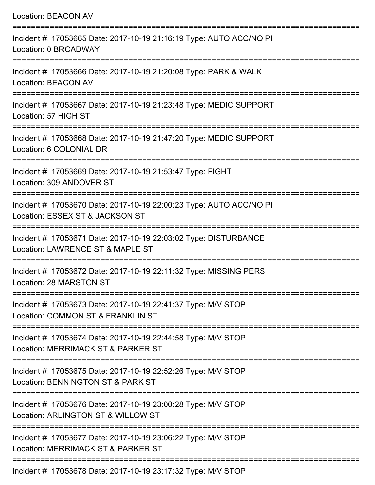| <b>Location: BEACON AV</b>                                                                                                        |
|-----------------------------------------------------------------------------------------------------------------------------------|
| Incident #: 17053665 Date: 2017-10-19 21:16:19 Type: AUTO ACC/NO PI<br>Location: 0 BROADWAY                                       |
| Incident #: 17053666 Date: 2017-10-19 21:20:08 Type: PARK & WALK<br><b>Location: BEACON AV</b>                                    |
| Incident #: 17053667 Date: 2017-10-19 21:23:48 Type: MEDIC SUPPORT<br>Location: 57 HIGH ST                                        |
| Incident #: 17053668 Date: 2017-10-19 21:47:20 Type: MEDIC SUPPORT<br>Location: 6 COLONIAL DR                                     |
| Incident #: 17053669 Date: 2017-10-19 21:53:47 Type: FIGHT<br>Location: 309 ANDOVER ST                                            |
| Incident #: 17053670 Date: 2017-10-19 22:00:23 Type: AUTO ACC/NO PI<br>Location: ESSEX ST & JACKSON ST                            |
| Incident #: 17053671 Date: 2017-10-19 22:03:02 Type: DISTURBANCE<br>Location: LAWRENCE ST & MAPLE ST                              |
| Incident #: 17053672 Date: 2017-10-19 22:11:32 Type: MISSING PERS<br><b>Location: 28 MARSTON ST</b>                               |
| ===========================<br>Incident #: 17053673 Date: 2017-10-19 22:41:37 Type: M/V STOP<br>Location: COMMON ST & FRANKLIN ST |
| Incident #: 17053674 Date: 2017-10-19 22:44:58 Type: M/V STOP<br>Location: MERRIMACK ST & PARKER ST                               |
| Incident #: 17053675 Date: 2017-10-19 22:52:26 Type: M/V STOP<br>Location: BENNINGTON ST & PARK ST                                |
| Incident #: 17053676 Date: 2017-10-19 23:00:28 Type: M/V STOP<br>Location: ARLINGTON ST & WILLOW ST                               |
| Incident #: 17053677 Date: 2017-10-19 23:06:22 Type: M/V STOP<br>Location: MERRIMACK ST & PARKER ST                               |
| Incident #: 17053678 Date: 2017-10-19 23:17:32 Type: M/V STOP                                                                     |